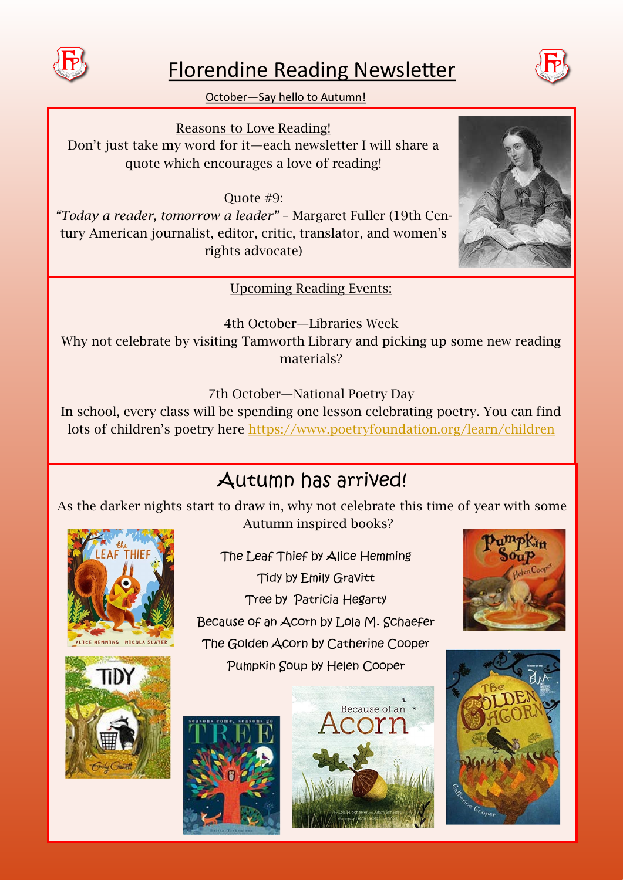

## Florendine Reading Newsletter



October—Say hello to Autumn!

Reasons to Love Reading! Don't just take my word for it—each newsletter I will share a quote which encourages a love of reading!

Quote #9: *"Today a reader, tomorrow a leader"* – Margaret Fuller (19th Century American journalist, editor, critic, translator, and women's rights advocate)

Upcoming Reading Events:

4th October—Libraries Week Why not celebrate by visiting Tamworth Library and picking up some new reading materials?

7th October—National Poetry Day

In school, every class will be spending one lesson celebrating poetry. You can find lots of children's poetry here <https://www.poetryfoundation.org/learn/children>

## Autumn has arrived!

As the darker nights start to draw in, why not celebrate this time of year with some Autumn inspired books?